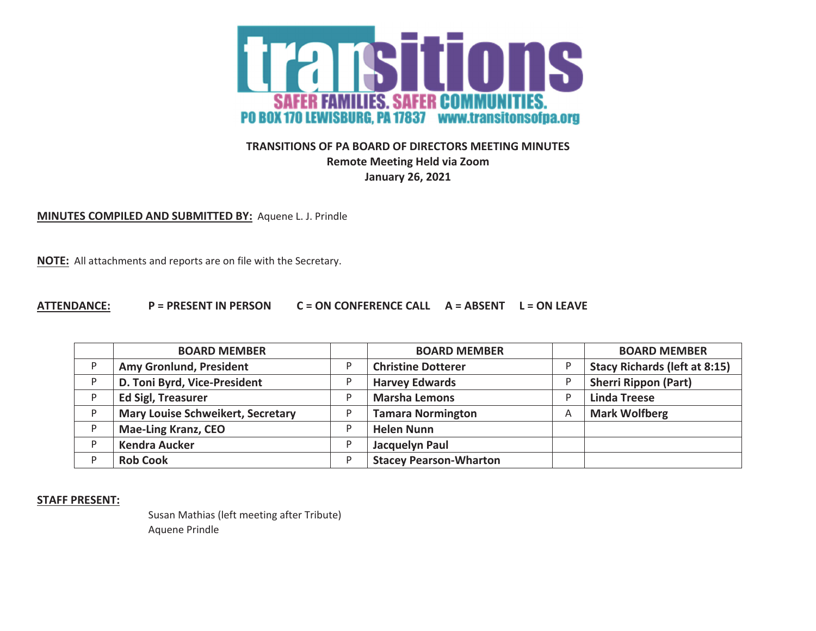

## **TRANSITIONS OF PA BOARD OF DIRECTORS MEETING MINUTES Remote Meeting Held via Zoom January 26, 2021**

**MINUTES COMPILED AND SUBMITTED BY:** Aquene L. J. Prindle

**NOTE:** All attachments and reports are on file with the Secretary.

## **ATTENDANCE: P <sup>=</sup> PRESENT INPERSON C <sup>=</sup> ON CONFERENCE CALL A <sup>=</sup> ABSENT L <sup>=</sup> ON LEAVE**

|   | <b>BOARD MEMBER</b>                      | <b>BOARD MEMBER</b>           |   | <b>BOARD MEMBER</b>                  |
|---|------------------------------------------|-------------------------------|---|--------------------------------------|
| D | Amy Gronlund, President                  | <b>Christine Dotterer</b>     |   | <b>Stacy Richards (left at 8:15)</b> |
|   | D. Toni Byrd, Vice-President             | <b>Harvey Edwards</b>         |   | <b>Sherri Rippon (Part)</b>          |
|   | <b>Ed Sigl, Treasurer</b>                | <b>Marsha Lemons</b>          |   | <b>Linda Treese</b>                  |
|   | <b>Mary Louise Schweikert, Secretary</b> | <b>Tamara Normington</b>      | A | <b>Mark Wolfberg</b>                 |
|   | <b>Mae-Ling Kranz, CEO</b>               | <b>Helen Nunn</b>             |   |                                      |
|   | <b>Kendra Aucker</b>                     | Jacquelyn Paul                |   |                                      |
|   | <b>Rob Cook</b>                          | <b>Stacey Pearson-Wharton</b> |   |                                      |

**STAFF PRESENT:**

Susan Mathias (left meeting after Tribute) Aquene Prindle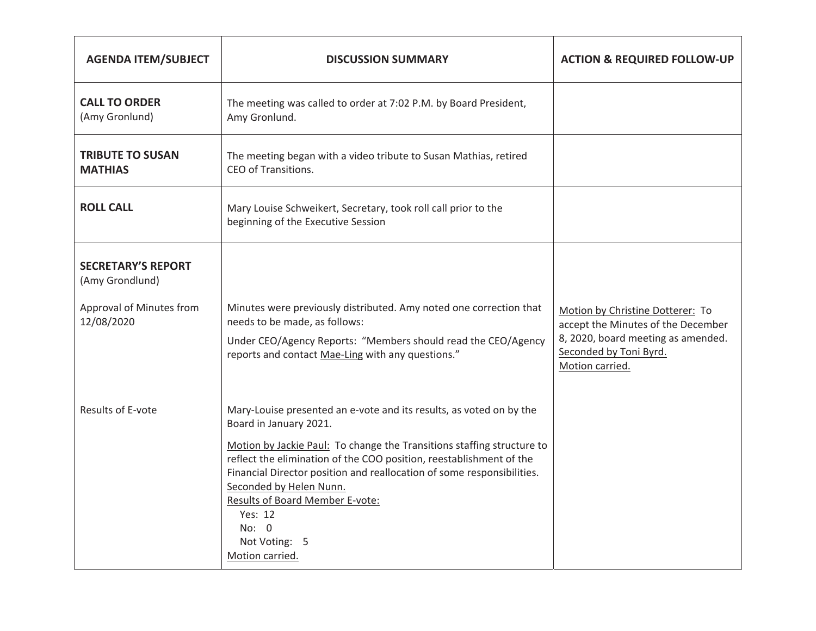| <b>AGENDA ITEM/SUBJECT</b>                                                             | <b>DISCUSSION SUMMARY</b>                                                                                                                                                                                                                                                                                                                                                                                                                             | <b>ACTION &amp; REQUIRED FOLLOW-UP</b>                                                                                                                    |
|----------------------------------------------------------------------------------------|-------------------------------------------------------------------------------------------------------------------------------------------------------------------------------------------------------------------------------------------------------------------------------------------------------------------------------------------------------------------------------------------------------------------------------------------------------|-----------------------------------------------------------------------------------------------------------------------------------------------------------|
| <b>CALL TO ORDER</b><br>(Amy Gronlund)                                                 | The meeting was called to order at 7:02 P.M. by Board President,<br>Amy Gronlund.                                                                                                                                                                                                                                                                                                                                                                     |                                                                                                                                                           |
| <b>TRIBUTE TO SUSAN</b><br><b>MATHIAS</b>                                              | The meeting began with a video tribute to Susan Mathias, retired<br>CEO of Transitions.                                                                                                                                                                                                                                                                                                                                                               |                                                                                                                                                           |
| <b>ROLL CALL</b>                                                                       | Mary Louise Schweikert, Secretary, took roll call prior to the<br>beginning of the Executive Session                                                                                                                                                                                                                                                                                                                                                  |                                                                                                                                                           |
| <b>SECRETARY'S REPORT</b><br>(Amy Grondlund)<br>Approval of Minutes from<br>12/08/2020 | Minutes were previously distributed. Amy noted one correction that<br>needs to be made, as follows:<br>Under CEO/Agency Reports: "Members should read the CEO/Agency<br>reports and contact Mae-Ling with any questions."                                                                                                                                                                                                                             | Motion by Christine Dotterer: To<br>accept the Minutes of the December<br>8, 2020, board meeting as amended.<br>Seconded by Toni Byrd.<br>Motion carried. |
| Results of E-vote                                                                      | Mary-Louise presented an e-vote and its results, as voted on by the<br>Board in January 2021.<br>Motion by Jackie Paul: To change the Transitions staffing structure to<br>reflect the elimination of the COO position, reestablishment of the<br>Financial Director position and reallocation of some responsibilities.<br>Seconded by Helen Nunn.<br><b>Results of Board Member E-vote:</b><br>Yes: 12<br>No: 0<br>Not Voting: 5<br>Motion carried. |                                                                                                                                                           |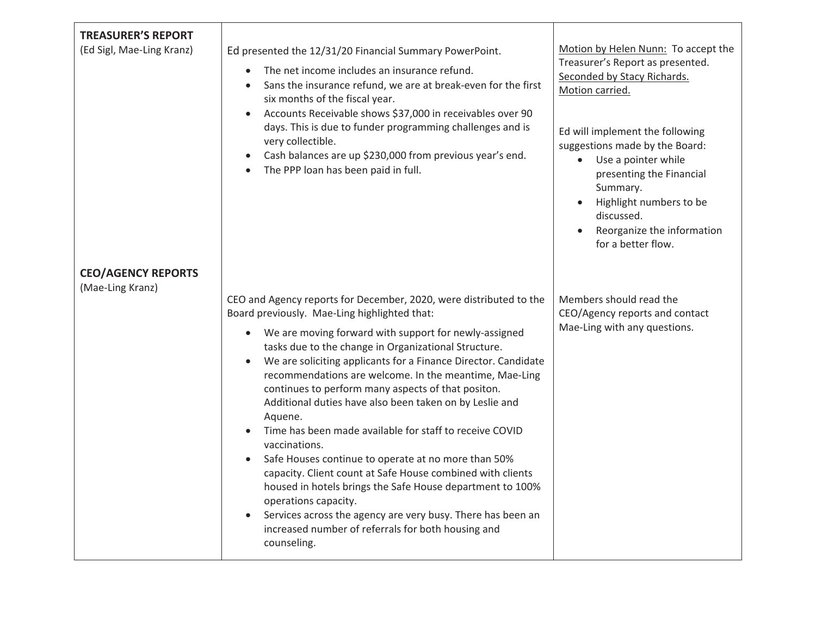| <b>TREASURER'S REPORT</b><br>(Ed Sigl, Mae-Ling Kranz)<br><b>CEO/AGENCY REPORTS</b> | Ed presented the 12/31/20 Financial Summary PowerPoint.<br>The net income includes an insurance refund.<br>$\bullet$<br>Sans the insurance refund, we are at break-even for the first<br>six months of the fiscal year.<br>Accounts Receivable shows \$37,000 in receivables over 90<br>$\bullet$<br>days. This is due to funder programming challenges and is<br>very collectible.<br>Cash balances are up \$230,000 from previous year's end.<br>The PPP loan has been paid in full.                                                                                                                                                                                                                                                                                                                                                                                                                                                          | Motion by Helen Nunn: To accept the<br>Treasurer's Report as presented.<br>Seconded by Stacy Richards.<br>Motion carried.<br>Ed will implement the following<br>suggestions made by the Board:<br>• Use a pointer while<br>presenting the Financial<br>Summary.<br>Highlight numbers to be<br>$\bullet$<br>discussed.<br>Reorganize the information<br>$\bullet$<br>for a better flow. |
|-------------------------------------------------------------------------------------|-------------------------------------------------------------------------------------------------------------------------------------------------------------------------------------------------------------------------------------------------------------------------------------------------------------------------------------------------------------------------------------------------------------------------------------------------------------------------------------------------------------------------------------------------------------------------------------------------------------------------------------------------------------------------------------------------------------------------------------------------------------------------------------------------------------------------------------------------------------------------------------------------------------------------------------------------|----------------------------------------------------------------------------------------------------------------------------------------------------------------------------------------------------------------------------------------------------------------------------------------------------------------------------------------------------------------------------------------|
| (Mae-Ling Kranz)                                                                    | CEO and Agency reports for December, 2020, were distributed to the<br>Board previously. Mae-Ling highlighted that:<br>We are moving forward with support for newly-assigned<br>$\bullet$<br>tasks due to the change in Organizational Structure.<br>We are soliciting applicants for a Finance Director. Candidate<br>$\bullet$<br>recommendations are welcome. In the meantime, Mae-Ling<br>continues to perform many aspects of that positon.<br>Additional duties have also been taken on by Leslie and<br>Aquene.<br>Time has been made available for staff to receive COVID<br>vaccinations.<br>Safe Houses continue to operate at no more than 50%<br>capacity. Client count at Safe House combined with clients<br>housed in hotels brings the Safe House department to 100%<br>operations capacity.<br>Services across the agency are very busy. There has been an<br>increased number of referrals for both housing and<br>counseling. | Members should read the<br>CEO/Agency reports and contact<br>Mae-Ling with any questions.                                                                                                                                                                                                                                                                                              |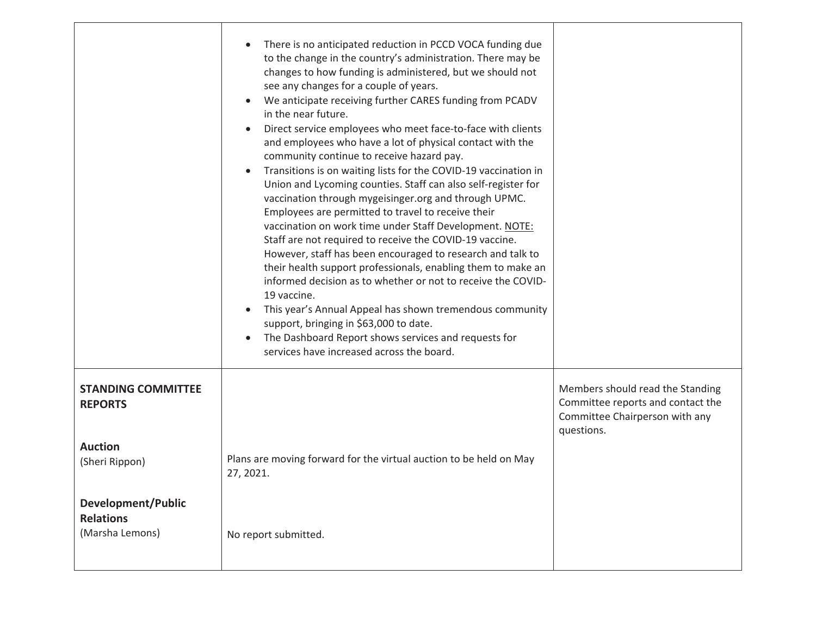|                                                                  | There is no anticipated reduction in PCCD VOCA funding due<br>$\bullet$<br>to the change in the country's administration. There may be<br>changes to how funding is administered, but we should not<br>see any changes for a couple of years.<br>We anticipate receiving further CARES funding from PCADV<br>$\bullet$<br>in the near future.<br>Direct service employees who meet face-to-face with clients<br>and employees who have a lot of physical contact with the<br>community continue to receive hazard pay.<br>Transitions is on waiting lists for the COVID-19 vaccination in<br>$\bullet$<br>Union and Lycoming counties. Staff can also self-register for<br>vaccination through mygeisinger.org and through UPMC.<br>Employees are permitted to travel to receive their<br>vaccination on work time under Staff Development. NOTE:<br>Staff are not required to receive the COVID-19 vaccine.<br>However, staff has been encouraged to research and talk to<br>their health support professionals, enabling them to make an<br>informed decision as to whether or not to receive the COVID-<br>19 vaccine.<br>This year's Annual Appeal has shown tremendous community<br>support, bringing in \$63,000 to date.<br>The Dashboard Report shows services and requests for<br>$\bullet$<br>services have increased across the board. |                                                                                                                       |
|------------------------------------------------------------------|---------------------------------------------------------------------------------------------------------------------------------------------------------------------------------------------------------------------------------------------------------------------------------------------------------------------------------------------------------------------------------------------------------------------------------------------------------------------------------------------------------------------------------------------------------------------------------------------------------------------------------------------------------------------------------------------------------------------------------------------------------------------------------------------------------------------------------------------------------------------------------------------------------------------------------------------------------------------------------------------------------------------------------------------------------------------------------------------------------------------------------------------------------------------------------------------------------------------------------------------------------------------------------------------------------------------------------------------------|-----------------------------------------------------------------------------------------------------------------------|
| <b>STANDING COMMITTEE</b><br><b>REPORTS</b>                      |                                                                                                                                                                                                                                                                                                                                                                                                                                                                                                                                                                                                                                                                                                                                                                                                                                                                                                                                                                                                                                                                                                                                                                                                                                                                                                                                                   | Members should read the Standing<br>Committee reports and contact the<br>Committee Chairperson with any<br>questions. |
| <b>Auction</b><br>(Sheri Rippon)                                 | Plans are moving forward for the virtual auction to be held on May<br>27, 2021.                                                                                                                                                                                                                                                                                                                                                                                                                                                                                                                                                                                                                                                                                                                                                                                                                                                                                                                                                                                                                                                                                                                                                                                                                                                                   |                                                                                                                       |
| <b>Development/Public</b><br><b>Relations</b><br>(Marsha Lemons) | No report submitted.                                                                                                                                                                                                                                                                                                                                                                                                                                                                                                                                                                                                                                                                                                                                                                                                                                                                                                                                                                                                                                                                                                                                                                                                                                                                                                                              |                                                                                                                       |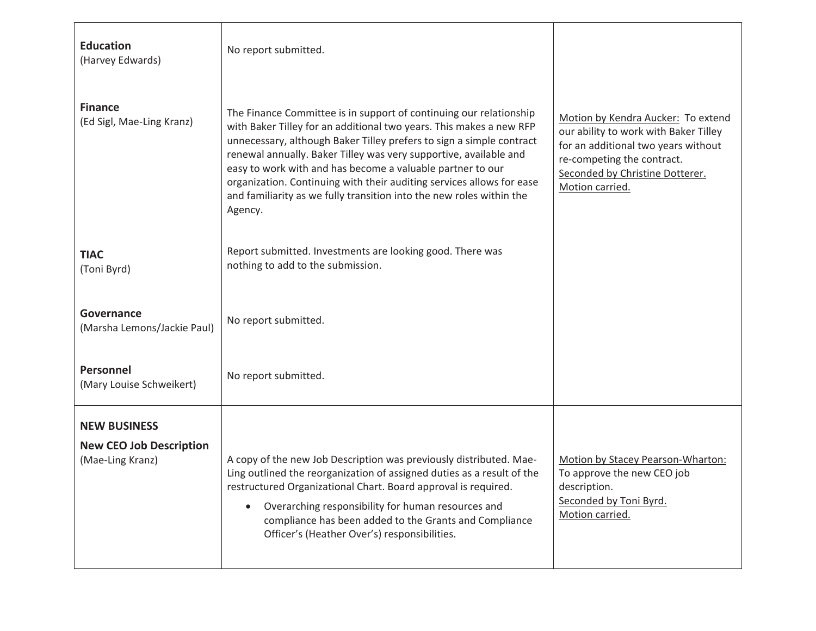| <b>Education</b><br>(Harvey Edwards)                                      | No report submitted.                                                                                                                                                                                                                                                                                                                                                                                                                                                                                             |                                                                                                                                                                                                        |
|---------------------------------------------------------------------------|------------------------------------------------------------------------------------------------------------------------------------------------------------------------------------------------------------------------------------------------------------------------------------------------------------------------------------------------------------------------------------------------------------------------------------------------------------------------------------------------------------------|--------------------------------------------------------------------------------------------------------------------------------------------------------------------------------------------------------|
| <b>Finance</b><br>(Ed Sigl, Mae-Ling Kranz)                               | The Finance Committee is in support of continuing our relationship<br>with Baker Tilley for an additional two years. This makes a new RFP<br>unnecessary, although Baker Tilley prefers to sign a simple contract<br>renewal annually. Baker Tilley was very supportive, available and<br>easy to work with and has become a valuable partner to our<br>organization. Continuing with their auditing services allows for ease<br>and familiarity as we fully transition into the new roles within the<br>Agency. | Motion by Kendra Aucker: To extend<br>our ability to work with Baker Tilley<br>for an additional two years without<br>re-competing the contract.<br>Seconded by Christine Dotterer.<br>Motion carried. |
| <b>TIAC</b><br>(Toni Byrd)                                                | Report submitted. Investments are looking good. There was<br>nothing to add to the submission.                                                                                                                                                                                                                                                                                                                                                                                                                   |                                                                                                                                                                                                        |
| Governance<br>(Marsha Lemons/Jackie Paul)                                 | No report submitted.                                                                                                                                                                                                                                                                                                                                                                                                                                                                                             |                                                                                                                                                                                                        |
| Personnel<br>(Mary Louise Schweikert)                                     | No report submitted.                                                                                                                                                                                                                                                                                                                                                                                                                                                                                             |                                                                                                                                                                                                        |
| <b>NEW BUSINESS</b><br><b>New CEO Job Description</b><br>(Mae-Ling Kranz) | A copy of the new Job Description was previously distributed. Mae-<br>Ling outlined the reorganization of assigned duties as a result of the<br>restructured Organizational Chart. Board approval is required.<br>Overarching responsibility for human resources and<br>$\bullet$<br>compliance has been added to the Grants and Compliance<br>Officer's (Heather Over's) responsibilities.                                                                                                                      | Motion by Stacey Pearson-Wharton:<br>To approve the new CEO job<br>description.<br>Seconded by Toni Byrd.<br>Motion carried.                                                                           |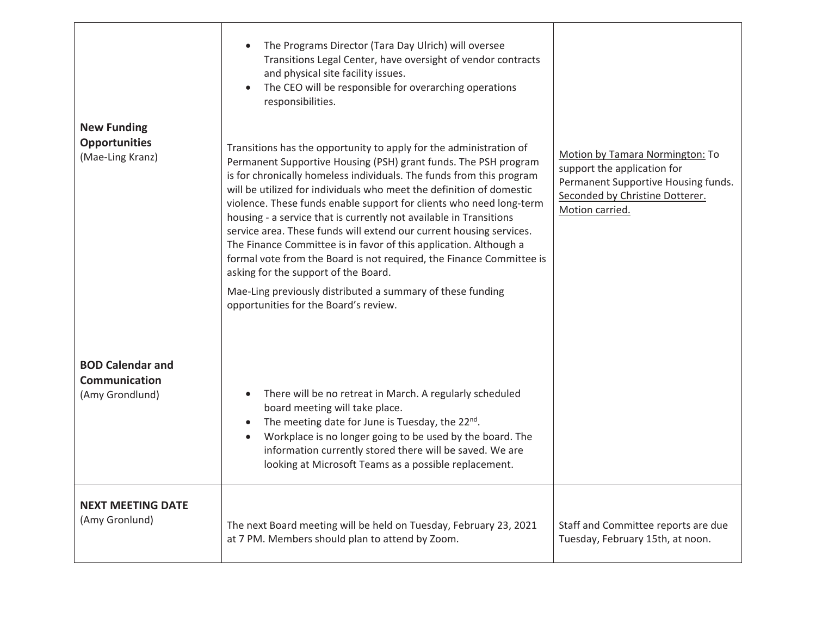|                                                                    | The Programs Director (Tara Day Ulrich) will oversee<br>Transitions Legal Center, have oversight of vendor contracts<br>and physical site facility issues.<br>The CEO will be responsible for overarching operations<br>responsibilities.                                                                                                                                                                                                                                                                                                                                                                                                                                                                                                                                                             |                                                                                                                                                             |
|--------------------------------------------------------------------|-------------------------------------------------------------------------------------------------------------------------------------------------------------------------------------------------------------------------------------------------------------------------------------------------------------------------------------------------------------------------------------------------------------------------------------------------------------------------------------------------------------------------------------------------------------------------------------------------------------------------------------------------------------------------------------------------------------------------------------------------------------------------------------------------------|-------------------------------------------------------------------------------------------------------------------------------------------------------------|
| <b>New Funding</b><br><b>Opportunities</b><br>(Mae-Ling Kranz)     | Transitions has the opportunity to apply for the administration of<br>Permanent Supportive Housing (PSH) grant funds. The PSH program<br>is for chronically homeless individuals. The funds from this program<br>will be utilized for individuals who meet the definition of domestic<br>violence. These funds enable support for clients who need long-term<br>housing - a service that is currently not available in Transitions<br>service area. These funds will extend our current housing services.<br>The Finance Committee is in favor of this application. Although a<br>formal vote from the Board is not required, the Finance Committee is<br>asking for the support of the Board.<br>Mae-Ling previously distributed a summary of these funding<br>opportunities for the Board's review. | Motion by Tamara Normington: To<br>support the application for<br>Permanent Supportive Housing funds.<br>Seconded by Christine Dotterer.<br>Motion carried. |
| <b>BOD Calendar and</b><br><b>Communication</b><br>(Amy Grondlund) | There will be no retreat in March. A regularly scheduled<br>$\bullet$<br>board meeting will take place.<br>The meeting date for June is Tuesday, the 22nd.<br>$\bullet$<br>Workplace is no longer going to be used by the board. The<br>$\bullet$<br>information currently stored there will be saved. We are<br>looking at Microsoft Teams as a possible replacement.                                                                                                                                                                                                                                                                                                                                                                                                                                |                                                                                                                                                             |
| <b>NEXT MEETING DATE</b><br>(Amy Gronlund)                         | The next Board meeting will be held on Tuesday, February 23, 2021<br>at 7 PM. Members should plan to attend by Zoom.                                                                                                                                                                                                                                                                                                                                                                                                                                                                                                                                                                                                                                                                                  | Staff and Committee reports are due<br>Tuesday, February 15th, at noon.                                                                                     |